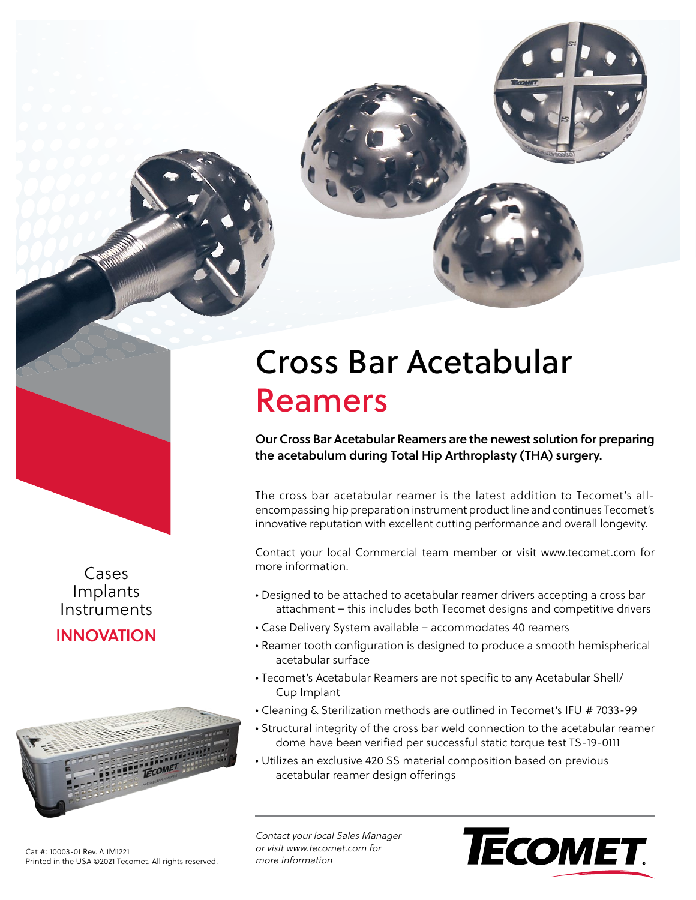



Cases Implants Instruments

**INNOVATION**



Cat #: 10003-01 Rev. A 1M1221 Printed in the USA ©2021 Tecomet. All rights reserved.

## Cross Bar Acetabular Reamers

**Our Cross Bar Acetabular Reamers are the newest solution for preparing the acetabulum during Total Hip Arthroplasty (THA) surgery.**

The cross bar acetabular reamer is the latest addition to Tecomet's allencompassing hip preparation instrument product line and continues Tecomet's innovative reputation with excellent cutting performance and overall longevity.

Contact your local Commercial team member or visit www.tecomet.com for more information.

- Designed to be attached to acetabular reamer drivers accepting a cross bar attachment – this includes both Tecomet designs and competitive drivers
- Case Delivery System available accommodates 40 reamers
- Reamer tooth configuration is designed to produce a smooth hemispherical acetabular surface
- Tecomet's Acetabular Reamers are not specific to any Acetabular Shell/ Cup Implant
- Cleaning & Sterilization methods are outlined in Tecomet's IFU # 7033-99
- Structural integrity of the cross bar weld connection to the acetabular reamer dome have been verified per successful static torque test TS-19-0111
- Utilizes an exclusive 420 SS material composition based on previous acetabular reamer design offerings

Contact your local Sales Manager or visit www.tecomet.com for more information